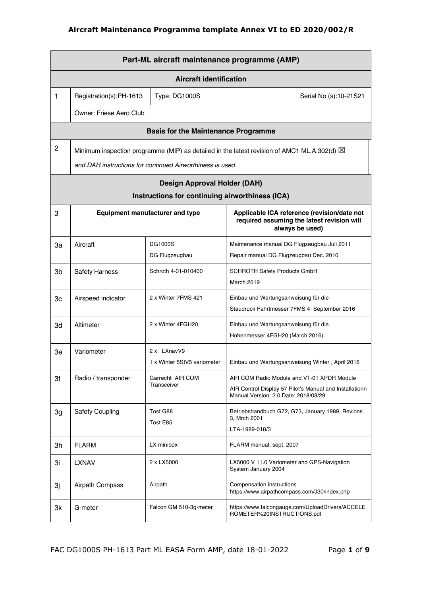|                | Part-ML aircraft maintenance programme (AMP) |                                                                                                                                                                    |                                                                           |                                                                                                              |  |  |
|----------------|----------------------------------------------|--------------------------------------------------------------------------------------------------------------------------------------------------------------------|---------------------------------------------------------------------------|--------------------------------------------------------------------------------------------------------------|--|--|
|                | <b>Aircraft identification</b>               |                                                                                                                                                                    |                                                                           |                                                                                                              |  |  |
| $\mathbf{1}$   | Registration(s):PH-1613                      | Type: DG1000S                                                                                                                                                      |                                                                           | Serial No (s):10-21S21                                                                                       |  |  |
|                | Owner: Friese Aero Club                      |                                                                                                                                                                    |                                                                           |                                                                                                              |  |  |
|                |                                              | <b>Basis for the Maintenance Programme</b>                                                                                                                         |                                                                           |                                                                                                              |  |  |
| $\overline{c}$ |                                              | Minimum inspection programme (MIP) as detailed in the latest revision of AMC1 ML.A.302(d) $\boxtimes$<br>and DAH instructions for continued Airworthiness is used. |                                                                           |                                                                                                              |  |  |
|                |                                              | <b>Design Approval Holder (DAH)</b>                                                                                                                                |                                                                           |                                                                                                              |  |  |
|                |                                              | Instructions for continuing airworthiness (ICA)                                                                                                                    |                                                                           |                                                                                                              |  |  |
| 3              |                                              | <b>Equipment manufacturer and type</b>                                                                                                                             |                                                                           | Applicable ICA reference (revision/date not<br>required assuming the latest revision will<br>always be used) |  |  |
| За             | Aircraft                                     | DG1000S                                                                                                                                                            | Maintenance manual DG Flugzeugbau Juli 2011                               |                                                                                                              |  |  |
|                |                                              | DG Flugzeugbau                                                                                                                                                     | Repair manual DG Flugzeugbau Dec. 2010                                    |                                                                                                              |  |  |
| 3b             | <b>Safety Harness</b>                        | Schroth 4-01-010400                                                                                                                                                | <b>SCHROTH Safety Products GmbH</b><br><b>March 2019</b>                  |                                                                                                              |  |  |
| 3c             | Airspeed indicator                           | 2 x Winter 7FMS 421                                                                                                                                                | Einbau und Wartungsanweisung für die                                      |                                                                                                              |  |  |
|                |                                              |                                                                                                                                                                    | Staudruck Fahrtmesser 7FMS 4 September 2016                               |                                                                                                              |  |  |
| 3d             | Altimeter                                    | 2 x Winter 4FGH20                                                                                                                                                  | Einbau und Wartungsanweisung für die                                      |                                                                                                              |  |  |
|                |                                              |                                                                                                                                                                    | Hohenmesser 4FGH20 (March 2016)                                           |                                                                                                              |  |  |
| Зe             | Variometer                                   | 2 x LXnavV9<br>1 x Winter 5StV5 variometer                                                                                                                         | Einbau und Wartungsanweisung Winter, April 2016                           |                                                                                                              |  |  |
|                |                                              | Garrecht AIR COM                                                                                                                                                   | AIR COM Radio Module and VT-01 XPDR Module                                |                                                                                                              |  |  |
| 3f             | Radio / transponder                          | Transceiver                                                                                                                                                        |                                                                           | AIR Control Display 57 Pilot's Manual and Installationn                                                      |  |  |
|                |                                              |                                                                                                                                                                    | Manual Version: 2.0 Date: 2018/03/29                                      |                                                                                                              |  |  |
| 3g             | <b>Safety Coupling</b>                       | Tost G88                                                                                                                                                           | 3, Mrch 2001                                                              | Betriebshandbuch G72, G73, January 1989, Revions                                                             |  |  |
|                |                                              | Tost E85                                                                                                                                                           | LTA-1989-018/3                                                            |                                                                                                              |  |  |
| 3h             | <b>FLARM</b>                                 | LX minibox                                                                                                                                                         | FLARM manual, sept. 2007                                                  |                                                                                                              |  |  |
| 3i             | <b>LXNAV</b>                                 | 2 x LX5000                                                                                                                                                         | LX5000 V 11.0 Variometer and GPS-Navigation<br>System January 2004        |                                                                                                              |  |  |
| Зj             | Airpath Compass                              | Airpath                                                                                                                                                            | Compensation instructions<br>https://www.airpathcompass.com/J30/index.php |                                                                                                              |  |  |
| 3k             | G-meter                                      | Falcon GM 510-3g-meter                                                                                                                                             | ROMETER%20INSTRUCTIONS.pdf                                                | https://www.falcongauge.com/UploadDrivers/ACCELE                                                             |  |  |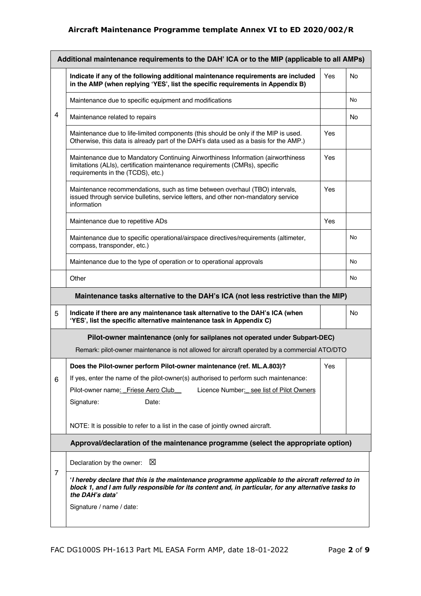|   | Additional maintenance requirements to the DAH' ICA or to the MIP (applicable to all AMPs)                                                                                                                                                               |     |    |  |  |
|---|----------------------------------------------------------------------------------------------------------------------------------------------------------------------------------------------------------------------------------------------------------|-----|----|--|--|
|   | Indicate if any of the following additional maintenance requirements are included<br>in the AMP (when replying 'YES', list the specific requirements in Appendix B)                                                                                      | Yes | No |  |  |
|   | Maintenance due to specific equipment and modifications                                                                                                                                                                                                  |     | No |  |  |
| 4 | Maintenance related to repairs                                                                                                                                                                                                                           |     | No |  |  |
|   | Maintenance due to life-limited components (this should be only if the MIP is used.<br>Otherwise, this data is already part of the DAH's data used as a basis for the AMP.)                                                                              | Yes |    |  |  |
|   | Maintenance due to Mandatory Continuing Airworthiness Information (airworthiness<br>limitations (ALIs), certification maintenance requirements (CMRs), specific<br>requirements in the (TCDS), etc.)                                                     | Yes |    |  |  |
|   | Maintenance recommendations, such as time between overhaul (TBO) intervals,<br>issued through service bulletins, service letters, and other non-mandatory service<br>information                                                                         | Yes |    |  |  |
|   | Maintenance due to repetitive ADs                                                                                                                                                                                                                        | Yes |    |  |  |
|   | Maintenance due to specific operational/airspace directives/requirements (altimeter,<br>compass, transponder, etc.)                                                                                                                                      |     | No |  |  |
|   | Maintenance due to the type of operation or to operational approvals                                                                                                                                                                                     |     | No |  |  |
|   | Other                                                                                                                                                                                                                                                    |     | No |  |  |
|   | Maintenance tasks alternative to the DAH's ICA (not less restrictive than the MIP)                                                                                                                                                                       |     |    |  |  |
| 5 | Indicate if there are any maintenance task alternative to the DAH's ICA (when<br>'YES', list the specific alternative maintenance task in Appendix C)                                                                                                    |     | No |  |  |
|   | Pilot-owner maintenance (only for sailplanes not operated under Subpart-DEC)                                                                                                                                                                             |     |    |  |  |
|   | Remark: pilot-owner maintenance is not allowed for aircraft operated by a commercial ATO/DTO                                                                                                                                                             |     |    |  |  |
|   | Does the Pilot-owner perform Pilot-owner maintenance (ref. ML.A.803)?                                                                                                                                                                                    | Yes |    |  |  |
| 6 | If yes, enter the name of the pilot-owner(s) authorised to perform such maintenance:                                                                                                                                                                     |     |    |  |  |
|   | Licence Number: see list of Pilot Owners<br>Pilot-owner name: Friese Aero Club                                                                                                                                                                           |     |    |  |  |
|   | Signature:<br>Date:                                                                                                                                                                                                                                      |     |    |  |  |
|   | NOTE: It is possible to refer to a list in the case of jointly owned aircraft.                                                                                                                                                                           |     |    |  |  |
|   | Approval/declaration of the maintenance programme (select the appropriate option)                                                                                                                                                                        |     |    |  |  |
|   | X<br>Declaration by the owner:                                                                                                                                                                                                                           |     |    |  |  |
| 7 | I hereby declare that this is the maintenance programme applicable to the aircraft referred to in<br>block 1, and I am fully responsible for its content and, in particular, for any alternative tasks to<br>the DAH's data'<br>Signature / name / date: |     |    |  |  |
|   |                                                                                                                                                                                                                                                          |     |    |  |  |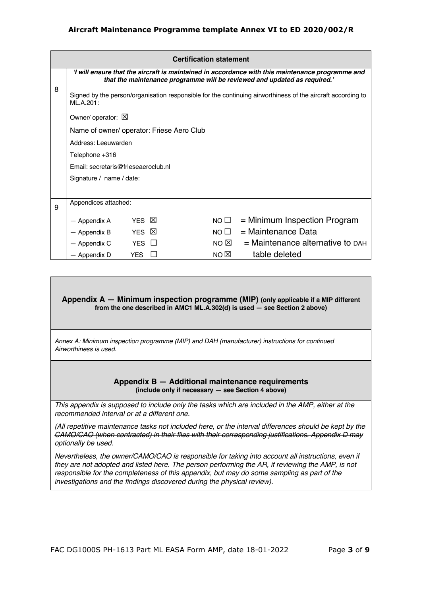|   | <b>Certification statement</b>                                                                                           |                                                                                                                                                                               |         |                |                                      |  |
|---|--------------------------------------------------------------------------------------------------------------------------|-------------------------------------------------------------------------------------------------------------------------------------------------------------------------------|---------|----------------|--------------------------------------|--|
|   |                                                                                                                          | 'I will ensure that the aircraft is maintained in accordance with this maintenance programme and<br>that the maintenance programme will be reviewed and updated as required.' |         |                |                                      |  |
| 8 | Signed by the person/organisation responsible for the continuing airworthiness of the aircraft according to<br>ML.A.201: |                                                                                                                                                                               |         |                |                                      |  |
|   | Owner/ operator: X                                                                                                       |                                                                                                                                                                               |         |                |                                      |  |
|   | Name of owner/ operator: Friese Aero Club                                                                                |                                                                                                                                                                               |         |                |                                      |  |
|   | Address: Leeuwarden                                                                                                      |                                                                                                                                                                               |         |                |                                      |  |
|   | Telephone +316                                                                                                           |                                                                                                                                                                               |         |                |                                      |  |
|   | Email: secretaris@frieseaeroclub.nl                                                                                      |                                                                                                                                                                               |         |                |                                      |  |
|   | Signature / name / date:                                                                                                 |                                                                                                                                                                               |         |                |                                      |  |
|   |                                                                                                                          |                                                                                                                                                                               |         |                |                                      |  |
| 9 | Appendices attached:                                                                                                     |                                                                                                                                                                               |         |                |                                      |  |
|   | — Appendix A                                                                                                             | YES <b>X</b>                                                                                                                                                                  |         | NO $\square$   | $=$ Minimum Inspection Program       |  |
|   | — Appendix B                                                                                                             | YES                                                                                                                                                                           | ⊠       | NO $\square$   | = Maintenance Data                   |  |
|   | — Appendix C                                                                                                             | <b>YES</b>                                                                                                                                                                    | $\perp$ | NO $\boxtimes$ | $=$ Maintenance alternative to $DAH$ |  |
|   | — Appendix D                                                                                                             | <b>YES</b>                                                                                                                                                                    |         | NO $\boxtimes$ | table deleted                        |  |

#### **Appendix A — Minimum inspection programme (MIP) (only applicable if a MIP different from the one described in AMC1 ML.A.302(d) is used — see Section 2 above)**

*Annex A: Minimum inspection programme (MIP) and DAH (manufacturer) instructions for continued Airworthiness is used.* 

#### **Appendix B — Additional maintenance requirements (include only if necessary — see Section 4 above)**

*This appendix is supposed to include only the tasks which are included in the AMP, either at the recommended interval or at a different one.* 

*(All repetitive maintenance tasks not included here, or the interval differences should be kept by the CAMO/CAO (when contracted) in their files with their corresponding justifications. Appendix D may optionally be used.* 

*Nevertheless, the owner/CAMO/CAO is responsible for taking into account all instructions, even if they are not adopted and listed here. The person performing the AR, if reviewing the AMP, is not responsible for the completeness of this appendix, but may do some sampling as part of the investigations and the findings discovered during the physical review).*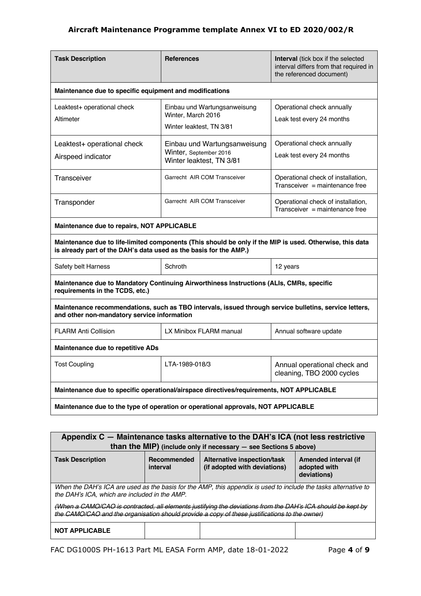| <b>Task Description</b>                                                           | <b>References</b>                                                                                        | <b>Interval</b> (tick box if the selected<br>interval differs from that required in<br>the referenced document) |  |  |
|-----------------------------------------------------------------------------------|----------------------------------------------------------------------------------------------------------|-----------------------------------------------------------------------------------------------------------------|--|--|
| Maintenance due to specific equipment and modifications                           |                                                                                                          |                                                                                                                 |  |  |
| Leaktest+ operational check<br>Altimeter                                          | Einbau und Wartungsanweisung<br>Winter, March 2016<br>Winter leaktest, TN 3/81                           | Operational check annually<br>Leak test every 24 months                                                         |  |  |
| Leaktest+ operational check<br>Airspeed indicator                                 | Einbau und Wartungsanweisung<br>Winter, September 2016<br>Winter leaktest, TN 3/81                       | Operational check annually<br>Leak test every 24 months                                                         |  |  |
| Transceiver                                                                       | Garrecht AIR COM Transceiver                                                                             | Operational check of installation,<br>$Transceiver = maintenance free$                                          |  |  |
| Transponder                                                                       | Garrecht AIR COM Transceiver                                                                             | Operational check of installation,<br>Transceiver = maintenance free                                            |  |  |
| Maintenance due to repairs, NOT APPLICABLE                                        |                                                                                                          |                                                                                                                 |  |  |
| is already part of the DAH's data used as the basis for the AMP.)                 | Maintenance due to life-limited components (This should be only if the MIP is used. Otherwise, this data |                                                                                                                 |  |  |
| Safety belt Harness                                                               | Schroth                                                                                                  | 12 years                                                                                                        |  |  |
| requirements in the TCDS, etc.)                                                   | Maintenance due to Mandatory Continuing Airworthiness Instructions (ALIs, CMRs, specific                 |                                                                                                                 |  |  |
| and other non-mandatory service information                                       | Maintenance recommendations, such as TBO intervals, issued through service bulletins, service letters,   |                                                                                                                 |  |  |
| <b>FLARM Anti Collision</b>                                                       | LX Minibox FLARM manual                                                                                  | Annual software update                                                                                          |  |  |
| Maintenance due to repetitive ADs                                                 |                                                                                                          |                                                                                                                 |  |  |
| Tost Coupling                                                                     | LTA-1989-018/3                                                                                           | Annual operational check and<br>cleaning, TBO 2000 cycles                                                       |  |  |
|                                                                                   | Maintenance due to specific operational/airspace directives/requirements, NOT APPLICABLE                 |                                                                                                                 |  |  |
| Maintenance due to the type of operation or operational approvals, NOT APPLICABLE |                                                                                                          |                                                                                                                 |  |  |

| Appendix C – Maintenance tasks alternative to the DAH's ICA (not less restrictive<br>than the MIP) (include only if necessary $-$ see Sections 5 above)                                                      |                         |                                                             |                                                     |  |  |  |
|--------------------------------------------------------------------------------------------------------------------------------------------------------------------------------------------------------------|-------------------------|-------------------------------------------------------------|-----------------------------------------------------|--|--|--|
| <b>Task Description</b>                                                                                                                                                                                      | Recommended<br>interval | Alternative inspection/task<br>(if adopted with deviations) | Amended interval (if<br>adopted with<br>deviations) |  |  |  |
| When the DAH's ICA are used as the basis for the AMP, this appendix is used to include the tasks alternative to<br>the DAH's ICA, which are included in the AMP.                                             |                         |                                                             |                                                     |  |  |  |
| (When a CAMO/CAO is contracted, all elements justifying the deviations from the DAH's ICA should be kept by<br>the CAMO/CAO and the organisation should provide a copy of these justifications to the owner) |                         |                                                             |                                                     |  |  |  |
| <b>NOT APPLICABLE</b>                                                                                                                                                                                        |                         |                                                             |                                                     |  |  |  |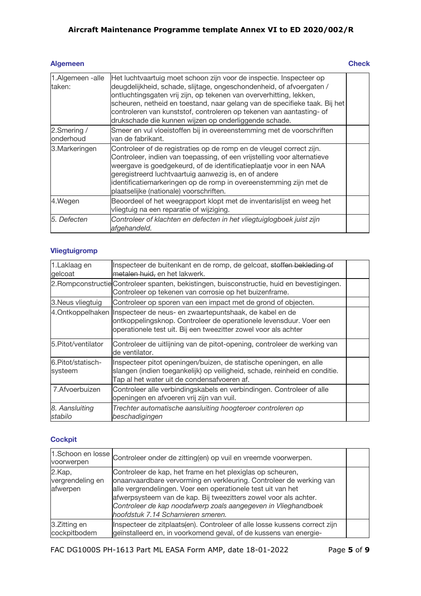## **Algemeen** Check

| 1.Algemeen -alle<br>taken: | Het luchtvaartuig moet schoon zijn voor de inspectie. Inspecteer op<br>deugdelijkheid, schade, slijtage, ongeschondenheid, of afvoergaten /<br>ontluchtingsgaten vrij zijn, op tekenen van oververhitting, lekken,<br>scheuren, netheid en toestand, naar gelang van de specifieke taak. Bij het<br>controleren van kunststof, controleren op tekenen van aantasting- of<br>drukschade die kunnen wijzen op onderliggende schade. |  |
|----------------------------|-----------------------------------------------------------------------------------------------------------------------------------------------------------------------------------------------------------------------------------------------------------------------------------------------------------------------------------------------------------------------------------------------------------------------------------|--|
| 2.Smering /<br>onderhoud   | Smeer en vul vloeistoffen bij in overeenstemming met de voorschriften<br>van de fabrikant.                                                                                                                                                                                                                                                                                                                                        |  |
| 3. Markeringen             | Controleer of de registraties op de romp en de vleugel correct zijn.<br>Controleer, indien van toepassing, of een vrijstelling voor alternatieve<br>weergave is goedgekeurd, of de identificatieplaatje voor in een NAA<br>geregistreerd luchtvaartuig aanwezig is, en of andere<br>identificatiemarkeringen op de romp in overeenstemming zijn met de<br>plaatselijke (nationale) voorschriften.                                 |  |
| 4.Wegen                    | Beoordeel of het weegrapport klopt met de inventarislijst en weeg het<br>vliegtuig na een reparatie of wijziging.                                                                                                                                                                                                                                                                                                                 |  |
| 5. Defecten                | Controleer of klachten en defecten in het vliegtuiglogboek juist zijn<br>afgehandeld.                                                                                                                                                                                                                                                                                                                                             |  |

## **Vliegtuigromp**

| 1.Laklaag en<br>gelcoat      | Inspecteer de buitenkant en de romp, de gelcoat, stoffen bekleding of<br>metalen huid, en het lakwerk.                                                                                                             |  |
|------------------------------|--------------------------------------------------------------------------------------------------------------------------------------------------------------------------------------------------------------------|--|
|                              | 2. Rompconstructie Controleer spanten, bekistingen, buisconstructie, huid en bevestigingen.<br>Controleer op tekenen van corrosie op het buizenframe.                                                              |  |
| 3. Neus vliegtuig            | Controleer op sporen van een impact met de grond of objecten.                                                                                                                                                      |  |
|                              | 4. Ontkoppelhaken Inspecteer de neus- en zwaartepuntshaak, de kabel en de<br>ontkoppelingsknop. Controleer de operationele levensduur. Voer een<br>operationele test uit. Bij een tweezitter zowel voor als achter |  |
| 5.Pitot/ventilator           | Controleer de uitlijning van de pitot-opening, controleer de werking van<br>de ventilator.                                                                                                                         |  |
| 6.Pitot/statisch-<br>systeem | Inspecteer pitot openingen/buizen, de statische openingen, en alle<br>slangen (indien toegankelijk) op veiligheid, schade, reinheid en conditie.<br>Tap al het water uit de condensafvoeren af.                    |  |
| 7. Afvoerbuizen              | Controleer alle verbindingskabels en verbindingen. Controleer of alle<br>openingen en afvoeren vrij zijn van vuil.                                                                                                 |  |
| 8. Aansluiting<br>stabilo    | Trechter automatische aansluiting hoogteroer controleren op<br>beschadigingen                                                                                                                                      |  |

## **Cockpit**

|                                        | 1.Schoon en losse Controleer onder de zitting(en) op vuil en vreemde voorwerpen.                                                                                                                                                                                                                                                                                              |  |
|----------------------------------------|-------------------------------------------------------------------------------------------------------------------------------------------------------------------------------------------------------------------------------------------------------------------------------------------------------------------------------------------------------------------------------|--|
| 2.Kap,<br>vergrendeling en<br>afwerpen | Controleer de kap, het frame en het plexiglas op scheuren,<br>onaanvaardbare vervorming en verkleuring. Controleer de werking van<br>alle vergrendelingen. Voer een operationele test uit van het<br>afwerpsysteem van de kap. Bij tweezitters zowel voor als achter.<br>Controleer de kap noodafwerp zoals aangegeven in Vlieghandboek<br>hoofdstuk 7.14 Scharnieren smeren. |  |
| 3.Zitting en<br>cockpitbodem           | Inspecteer de zitplaats(en). Controleer of alle losse kussens correct zijn<br>geïnstalleerd en, in voorkomend geval, of de kussens van energie-                                                                                                                                                                                                                               |  |

FAC DG1000S PH-1613 Part ML EASA Form AMP, date 18-01-2022 Page **5** of **9**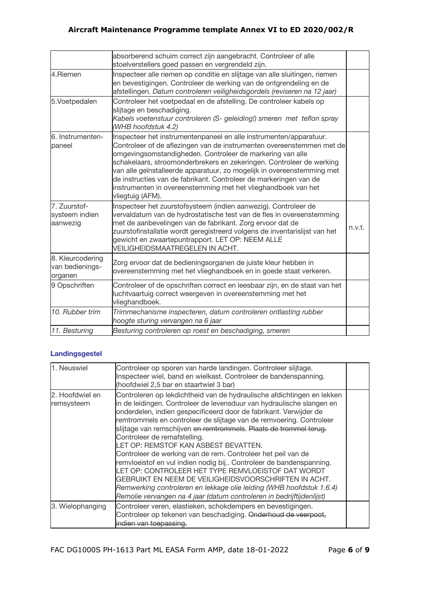|                                                | absorberend schuim correct zijn aangebracht. Controleer of alle<br>stoelverstellers goed passen en vergrendeld zijn.                                                                                                                                                                                                                                                                                                                                                                                                 |        |
|------------------------------------------------|----------------------------------------------------------------------------------------------------------------------------------------------------------------------------------------------------------------------------------------------------------------------------------------------------------------------------------------------------------------------------------------------------------------------------------------------------------------------------------------------------------------------|--------|
| 4.Riemen                                       | Inspecteer alle riemen op conditie en slijtage van alle sluitingen, riemen<br>en bevestigingen. Controleer de werking van de ontgrendeling en de<br>afstellingen. Datum controleren veiligheidsgordels (reviseren na 12 jaar)                                                                                                                                                                                                                                                                                        |        |
| 5.Voetpedalen                                  | Controleer het voetpedaal en de afstelling. De controleer kabels op<br>slijtage en beschadiging.<br>Kabels voetenstuur controleren (S- geleiding!) smeren met teflon spray<br>(WHB hoofdstuk 4.2)                                                                                                                                                                                                                                                                                                                    |        |
| 6. Instrumenten-<br>paneel                     | Inspecteer het instrumentenpaneel en alle instrumenten/apparatuur.<br>Controleer of de aflezingen van de instrumenten overeenstemmen met de<br>omgevingsomstandigheden. Controleer de markering van alle<br>schakelaars, stroomonderbrekers en zekeringen. Controleer de werking<br>van alle geïnstalleerde apparatuur, zo mogelijk in overeenstemming met<br>de instructies van de fabrikant. Controleer de markeringen van de<br>instrumenten in overeenstemming met het vlieghandboek van het<br>vliegtuig (AFM). |        |
| 7. Zuurstof-<br>systeem indien<br>aanwezig     | Inspecteer het zuurstofsysteem (indien aanwezig). Controleer de<br>vervaldatum van de hydrostatische test van de fles in overeenstemming<br>met de aanbevelingen van de fabrikant. Zorg ervoor dat de<br>zuurstofinstallatie wordt geregistreerd volgens de inventarislijst van het<br>gewicht en zwaartepuntrapport. LET OP: NEEM ALLE<br>VEILIGHEIDSMAATREGELEN IN ACHT.                                                                                                                                           | n.v.t. |
| 8. Kleurcodering<br>van bedienings-<br>organen | Zorg ervoor dat de bedieningsorganen de juiste kleur hebben in<br>overeenstemming met het vlieghandboek en in goede staat verkeren.                                                                                                                                                                                                                                                                                                                                                                                  |        |
| 9 Opschriften                                  | Controleer of de opschriften correct en leesbaar zijn, en de staat van het<br>luchtvaartuig correct weergeven in overeenstemming met het<br>vlieghandboek.                                                                                                                                                                                                                                                                                                                                                           |        |
| 10. Rubber trim                                | Trimmechanisme inspecteren, datum controleren ontlasting rubber<br>hoogte sturing vervangen na 6 jaar                                                                                                                                                                                                                                                                                                                                                                                                                |        |
| 11. Besturing                                  | Besturing controleren op roest en beschadiging, smeren                                                                                                                                                                                                                                                                                                                                                                                                                                                               |        |

# **Landingsgestel**

| 1. Neuswiel                   | Controleer op sporen van harde landingen. Controleer slijtage.<br>Inspecteer wiel, band en wielkast. Controleer de bandenspanning.<br>(hoofdwiel 2,5 bar en staartwiel 3 bar)                                                                                                                                                                                                                                                                                                                                                                                                                                                                                                                                                                                                                                                                  |  |
|-------------------------------|------------------------------------------------------------------------------------------------------------------------------------------------------------------------------------------------------------------------------------------------------------------------------------------------------------------------------------------------------------------------------------------------------------------------------------------------------------------------------------------------------------------------------------------------------------------------------------------------------------------------------------------------------------------------------------------------------------------------------------------------------------------------------------------------------------------------------------------------|--|
| 2. Hoofdwiel en<br>remsysteem | Controleren op lekdichtheid van de hydraulische afdichtingen en lekken<br>in de leidingen. Controleer de levensduur van hydraulische slangen en<br>onderdelen, indien gespecificeerd door de fabrikant. Verwijder de<br>remtrommels en controleer de slijtage van de remvoering. Controleer<br>slijtage van remschijven en remtrommels. Plaats de trommel terug.<br>Controleer de remafstelling.<br>LET OP: REMSTOF KAN ASBEST BEVATTEN.<br>Controleer de werking van de rem. Controleer het peil van de<br>remvloeistof en vul indien nodig bij Controleer de bandenspanning.<br>LET OP: CONTROLEER HET TYPE REMVLOEISTOF DAT WORDT<br>GEBRUIKT EN NEEM DE VEILIGHEIDSVOORSCHRIFTEN IN ACHT.<br>Remwerking controleren en lekkage olie leiding (WHB hoofdstuk 1.6.4)<br>Remolie vervangen na 4 jaar (datum controleren in bedrijftijdenlijst) |  |
| 3. Wielophanging              | Controleer veren, elastieken, schokdempers en bevestigingen.<br>Controleer op tekenen van beschadiging. Onderhoud de veerpoot,<br>indien van toepassing.                                                                                                                                                                                                                                                                                                                                                                                                                                                                                                                                                                                                                                                                                       |  |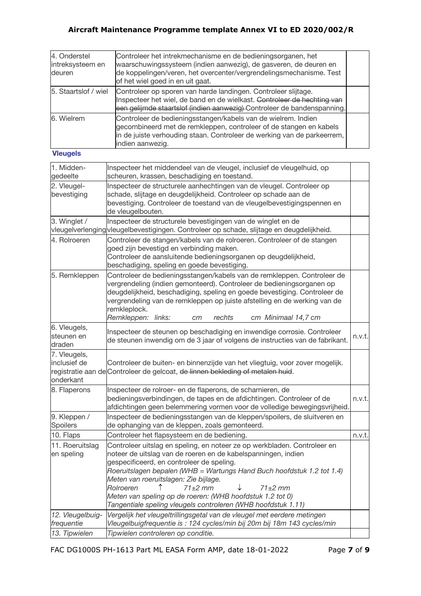| 4. Onderstel<br>intreksysteem en<br>deuren | Controleer het intrekmechanisme en de bedieningsorganen, het<br>waarschuwingssysteem (indien aanwezig), de gasveren, de deuren en<br>de koppelingen/veren, het overcenter/vergrendelingsmechanisme. Test<br>of het wiel goed in en uit gaat. |  |
|--------------------------------------------|----------------------------------------------------------------------------------------------------------------------------------------------------------------------------------------------------------------------------------------------|--|
| 5. Staartslof / wiel                       | Controleer op sporen van harde landingen. Controleer slijtage.<br>Inspecteer het wiel, de band en de wielkast. Controleer de hechting van<br>een gelijmde staartslof (indien aanwezig) Controleer de bandenspanning.                         |  |
| 6. Wielrem                                 | Controleer de bedieningsstangen/kabels van de wielrem. Indien<br>gecombineerd met de remkleppen, controleer of de stangen en kabels<br>in de juiste verhouding staan. Controleer de werking van de parkeerrem,<br>indien aanwezig.           |  |

## **Vleugels**

| 1. Midden-<br>gedeelte                    | Inspecteer het middendeel van de vleugel, inclusief de vleugelhuid, op<br>scheuren, krassen, beschadiging en toestand.                                                                                                                                                                                                                                                                                                                                                               |        |
|-------------------------------------------|--------------------------------------------------------------------------------------------------------------------------------------------------------------------------------------------------------------------------------------------------------------------------------------------------------------------------------------------------------------------------------------------------------------------------------------------------------------------------------------|--------|
| 2. Vleugel-<br>bevestiging                | Inspecteer de structurele aanhechtingen van de vleugel. Controleer op<br>schade, slijtage en deugdelijkheid. Controleer op schade aan de<br>bevestiging. Controleer de toestand van de vleugelbevestigingspennen en<br>de vleugelbouten.                                                                                                                                                                                                                                             |        |
| 3. Winglet /                              | Inspecteer de structurele bevestigingen van de winglet en de<br>vleugelverlenging vleugelbevestigingen. Controleer op schade, slijtage en deugdelijkheid.                                                                                                                                                                                                                                                                                                                            |        |
| 4. Rolroeren                              | Controleer de stangen/kabels van de rolroeren. Controleer of de stangen<br>goed zijn bevestigd en verbinding maken.<br>Controleer de aansluitende bedieningsorganen op deugdelijkheid,<br>beschadiging, speling en goede bevestiging.                                                                                                                                                                                                                                                |        |
| 5. Remkleppen                             | Controleer de bedieningsstangen/kabels van de remkleppen. Controleer de<br>vergrendeling (indien gemonteerd). Controleer de bedieningsorganen op<br>deugdelijkheid, beschadiging, speling en goede bevestiging. Controleer de<br>vergrendeling van de remkleppen op juiste afstelling en de werking van de<br>remkleplock.<br>Remkleppen: links:<br>rechts<br>cm Minimaal 14,7 cm<br>сm                                                                                              |        |
| 6. Vleugels,<br>steunen en<br>draden      | Inspecteer de steunen op beschadiging en inwendige corrosie. Controleer<br>de steunen inwendig om de 3 jaar of volgens de instructies van de fabrikant.                                                                                                                                                                                                                                                                                                                              | n.v.t. |
| 7. Vleugels,<br>inclusief de<br>onderkant | Controleer de buiten- en binnenzijde van het vliegtuig, voor zover mogelijk.<br>registratie aan de Controleer de gelcoat, de linnen bekleding of metalen huid.                                                                                                                                                                                                                                                                                                                       |        |
| 8. Flaperons                              | Inspecteer de rolroer- en de flaperons, de scharnieren, de<br>bedieningsverbindingen, de tapes en de afdichtingen. Controleer of de<br>afdichtingen geen belemmering vormen voor de volledige bewegingsvrijheid.                                                                                                                                                                                                                                                                     | n.v.t. |
| 9. Kleppen /<br>Spoilers                  | Inspecteer de bedieningsstangen van de kleppen/spoilers, de sluitveren en<br>de ophanging van de kleppen, zoals gemonteerd.                                                                                                                                                                                                                                                                                                                                                          |        |
| 10. Flaps                                 | Controleer het flapsysteem en de bediening.                                                                                                                                                                                                                                                                                                                                                                                                                                          | n.v.t. |
| 11. Roeruitslag<br>en speling             | Controleer uitslag en speling, en noteer ze op werkbladen. Controleer en<br>noteer de uitslag van de roeren en de kabelspanningen, indien<br>gespecificeerd, en controleer de speling.<br>Roeruitslagen bepalen (WHB = Wartungs Hand Buch hoofdstuk 1.2 tot 1.4)<br>Meten van roeruitslagen: Zie bijlage.<br>Rolroeren<br>$71\pm2$ mm<br>$71 \pm 2$ mm<br>Meten van speling op de roeren: (WHB hoofdstuk 1.2 tot 0)<br>Tangentiale speling vleugels controleren (WHB hoofdstuk 1.11) |        |
| 12. Vleugelbuig-<br>frequentie            | Vergelijk het vleugeltrillingsgetal van de vleugel met eerdere metingen<br>Vleugelbuigfrequentie is: 124 cycles/min bij 20m bij 18m 143 cycles/min                                                                                                                                                                                                                                                                                                                                   |        |
| 13. Tipwielen                             | Tipwielen controleren op conditie.                                                                                                                                                                                                                                                                                                                                                                                                                                                   |        |

FAC DG1000S PH-1613 Part ML EASA Form AMP, date 18-01-2022 Page **7** of **9**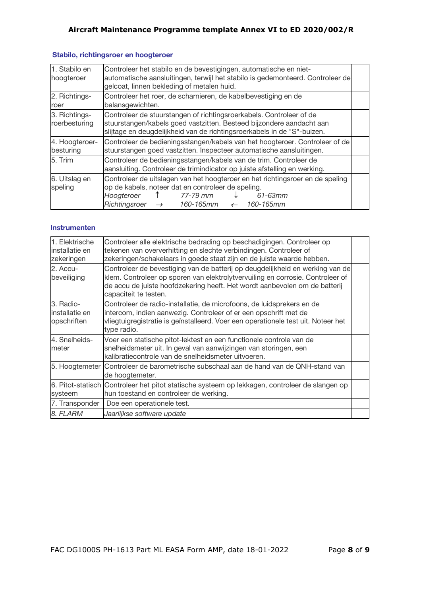| 1. Stabilo en<br>hoogteroer    | Controleer het stabilo en de bevestigingen, automatische en niet-<br>automatische aansluitingen, terwijl het stabilo is gedemonteerd. Controleer de<br>gelcoat, linnen bekleding of metalen huid.                                               |  |
|--------------------------------|-------------------------------------------------------------------------------------------------------------------------------------------------------------------------------------------------------------------------------------------------|--|
| 2. Richtings-<br>roer          | Controleer het roer, de scharnieren, de kabelbevestiging en de<br>balansgewichten.                                                                                                                                                              |  |
| 3. Richtings-<br>roerbesturing | Controleer de stuurstangen of richtingsroerkabels. Controleer of de<br>stuurstangen/kabels goed vastzitten. Besteed bijzondere aandacht aan<br>slijtage en deugdelijkheid van de richtingsroerkabels in de "S"-buizen.                          |  |
| 4. Hoogteroer-<br>besturing    | Controleer de bedieningsstangen/kabels van het hoogteroer. Controleer of de<br>stuurstangen goed vastzitten. Inspecteer automatische aansluitingen.                                                                                             |  |
| 5. Trim                        | Controleer de bedieningsstangen/kabels van de trim. Controleer de<br>aansluiting. Controleer de trimindicator op juiste afstelling en werking.                                                                                                  |  |
| 6. Uitslag en<br>speling       | Controleer de uitslagen van het hoogteroer en het richtingsroer en de speling<br>op de kabels, noteer dat en controleer de speling.<br>77-79 mm<br>Hoogteroer<br>61-63mm<br>$Richting sroer \rightarrow 160-165mm$<br>160-165mm<br>$\leftarrow$ |  |

## **Stabilo, richtingsroer en hoogteroer**

## **Instrumenten**

| 1. Elektrische<br>linstallatie en<br>zekeringen | Controleer alle elektrische bedrading op beschadigingen. Controleer op<br>tekenen van oververhitting en slechte verbindingen. Controleer of<br>zekeringen/schakelaars in goede staat zijn en de juiste waarde hebben.                                                  |  |
|-------------------------------------------------|------------------------------------------------------------------------------------------------------------------------------------------------------------------------------------------------------------------------------------------------------------------------|--|
| 2. Accu-<br>beveiliging                         | Controleer de bevestiging van de batterij op deugdelijkheid en werking van de<br>klem. Controleer op sporen van elektrolytvervuiling en corrosie. Controleer of<br>de accu de juiste hoofdzekering heeft. Het wordt aanbevolen om de batterij<br>capaciteit te testen. |  |
| 3. Radio-<br>installatie en<br>opschriften      | Controleer de radio-installatie, de microfoons, de luidsprekers en de<br>intercom, indien aanwezig. Controleer of er een opschrift met de<br>vliegtuigregistratie is geïnstalleerd. Voer een operationele test uit. Noteer het<br>type radio.                          |  |
| 4. Snelheids-<br>meter                          | Voer een statische pitot-lektest en een functionele controle van de<br>snelheidsmeter uit. In geval van aanwijzingen van storingen, een<br>kalibratiecontrole van de snelheidsmeter uitvoeren.                                                                         |  |
| 5. Hoogtemeter                                  | Controleer de barometrische subschaal aan de hand van de QNH-stand van<br>de hoogtemeter.                                                                                                                                                                              |  |
| systeem                                         | 6. Pitot-statisch Controleer het pitot statische systeem op lekkagen, controleer de slangen op<br>hun toestand en controleer de werking.                                                                                                                               |  |
| 7. Transponder                                  | Doe een operationele test.                                                                                                                                                                                                                                             |  |
| 8. FLARM                                        | Jaarlijkse software update                                                                                                                                                                                                                                             |  |